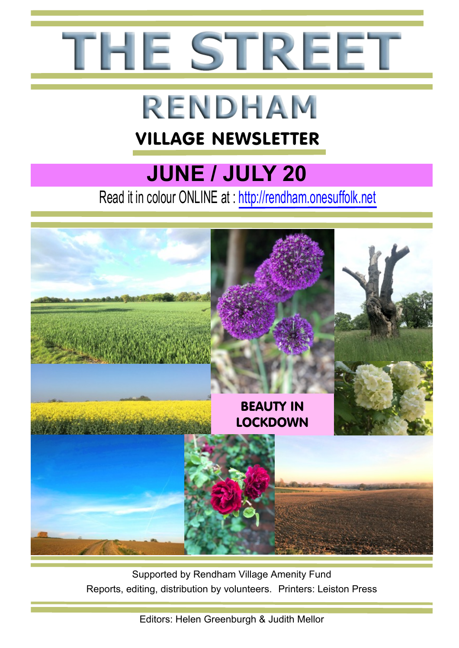

# **RENDHAM**

### VILLAGE NEWSLETTER

# **JUNE / JULY 20**

Read it in colour ONLINE at : http://rendham.onesuffolk.net



Supported by Rendham Village Amenity Fund Reports, editing, distribution by volunteers. Printers: Leiston Press

Editors: Helen Greenburgh & Judith Mellor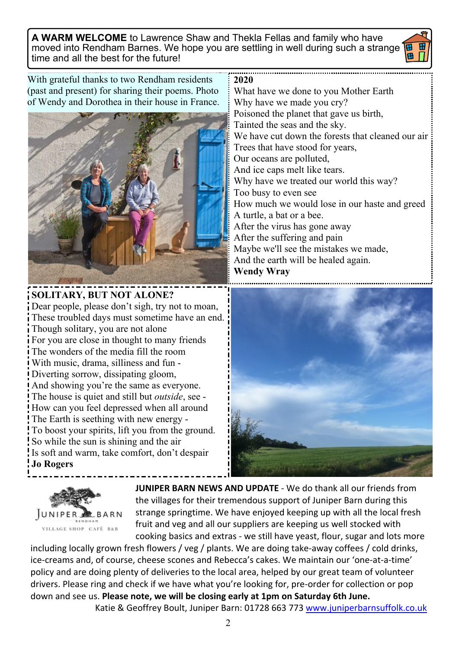**A WARM WELCOME** to Lawrence Shaw and Thekla Fellas and family who have moved into Rendham Barnes. We hope you are settling in well during such a strange **18** time and all the best for the future!

With grateful thanks to two Rendham residents (past and present) for sharing their poems. Photo of Wendy and Dorothea in their house in France.



#### **SOLITARY, BUT NOT ALONE?** Dear people, please don't sigh, try not to moan, These troubled days must sometime have an end. Though solitary, you are not alone

For you are close in thought to many friends The wonders of the media fill the room With music, drama, silliness and fun - Diverting sorrow, dissipating gloom, And showing you're the same as everyone. The house is quiet and still but *outside*, see - How can you feel depressed when all around The Earth is seething with new energy - To boost your spirits, lift you from the ground. So while the sun is shining and the air Is soft and warm, take comfort, don't despair **Jo Rogers**

**2020**

What have we done to you Mother Earth Why have we made you cry? Poisoned the planet that gave us birth, Tainted the seas and the sky. We have cut down the forests that cleaned our air Trees that have stood for years, Our oceans are polluted, And ice caps melt like tears. Why have we treated our world this way? Too busy to even see How much we would lose in our haste and greed A turtle, a bat or a bee. After the virus has gone away After the suffering and pain Maybe we'll see the mistakes we made, And the earth will be healed again. **Wendy Wray**





**JUNIPER BARN NEWS AND UPDATE** - We do thank all our friends from the villages for their tremendous support of Juniper Barn during this strange springtime. We have enjoyed keeping up with all the local fresh fruit and veg and all our suppliers are keeping us well stocked with cooking basics and extras - we still have yeast, flour, sugar and lots more

including locally grown fresh flowers / veg / plants. We are doing take-away coffees / cold drinks, ice-creams and, of course, cheese scones and Rebecca's cakes. We maintain our 'one-at-a-time' policy and are doing plenty of deliveries to the local area, helped by our great team of volunteer drivers. Please ring and check if we have what you're looking for, pre-order for collection or pop down and see us. **Please note, we will be closing early at 1pm on Saturday 6th June.**

Katie & Geoffrey Boult, Juniper Barn: 01728 663 773 <www.juniperbarnsuffolk.co.uk>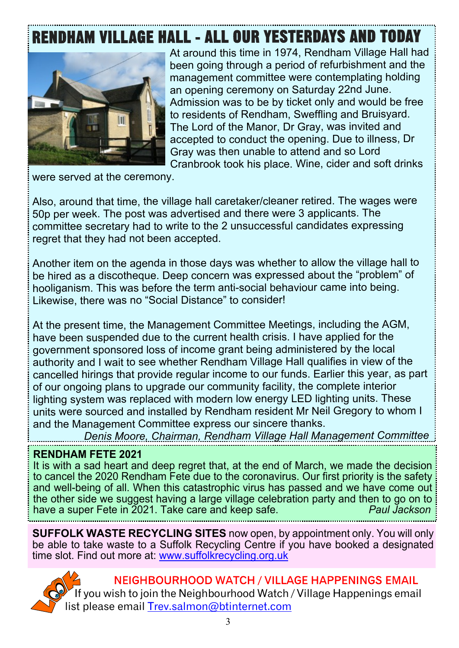# **RENDHAM VILLAGE HALL - ALL OUR YESTERDAYS AND TODAY**



At around this time in 1974, Rendham Village Hall had been going through a period of refurbishment and the management committee were contemplating holding an opening ceremony on Saturday 22nd June. Admission was to be by ticket only and would be free to residents of Rendham, Sweffling and Bruisyard. The Lord of the Manor, Dr Gray, was invited and accepted to conduct the opening. Due to illness, Dr Gray was then unable to attend and so Lord Cranbrook took his place. Wine, cider and soft drinks

were served at the ceremony.

Also, around that time, the village hall caretaker/cleaner retired. The wages were 50p per week. The post was advertised and there were 3 applicants. The committee secretary had to write to the 2 unsuccessful candidates expressing regret that they had not been accepted.

Another item on the agenda in those days was whether to allow the village hall to be hired as a discotheque. Deep concern was expressed about the "problem" of hooliganism. This was before the term anti-social behaviour came into being. Likewise, there was no "Social Distance" to consider!

At the present time, the Management Committee Meetings, including the AGM, have been suspended due to the current health crisis. I have applied for the government sponsored loss of income grant being administered by the local authority and I wait to see whether Rendham Village Hall qualifies in view of the cancelled hirings that provide regular income to our funds. Earlier this year, as part of our ongoing plans to upgrade our community facility, the complete interior lighting system was replaced with modern low energy LED lighting units. These units were sourced and installed by Rendham resident Mr Neil Gregory to whom I and the Management Committee express our sincere thanks.

*Denis Moore, Chairman, Rendham Village Hall Management Committee*

#### **RENDHAM FETE 2021**

It is with a sad heart and deep regret that, at the end of March, we made the decision to cancel the 2020 Rendham Fete due to the coronavirus. Our first priority is the safety and well-being of all. When this catastrophic virus has passed and we have come out the other side we suggest having a large village celebration party and then to go on to<br>have a super Fete in 2021. Take care and keep safe have a super Fete in 2021. Take care and keep safe.

**SUFFOLK WASTE RECYCLING SITES** now open, by appointment only. You will only be able to take waste to a Suffolk Recycling Centre if you have booked a designated time slot. Find out more at: [www.suffolkrecycling.org.uk](https://www.suffolkrecycling.org.uk/where-to-recycle/recycling-centres/suffolk-recycling-centres-booking-page)



#### NEIGHBOURHOOD WATCH / VILLAGE HAPPENINGS EMAIL

you wish to join the Neighbourhood Watch / Village Happenings email list please email [Trev.salmon@btinternet.com](mailto:Trev.salmon@btinternet.com)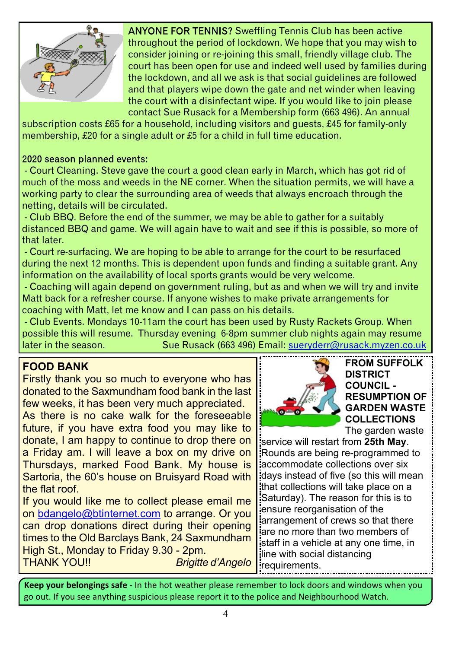

ANYONE FOR TENNIS? Sweffling Tennis Club has been active throughout the period of lockdown. We hope that you may wish to consider joining or re-joining this small, friendly village club. The court has been open for use and indeed well used by families during the lockdown, and all we ask is that social guidelines are followed and that players wipe down the gate and net winder when leaving the court with a disinfectant wipe. If you would like to join please contact Sue Rusack for a Membership form (663 496). An annual

subscription costs £65 for a household, including visitors and guests, £45 for family-only membership, £20 for a single adult or £5 for a child in full time education.

#### 2020 season planned events:

 - Court Cleaning. Steve gave the court a good clean early in March, which has got rid of much of the moss and weeds in the NE corner. When the situation permits, we will have a working party to clear the surrounding area of weeds that always encroach through the netting, details will be circulated.

 - Club BBQ. Before the end of the summer, we may be able to gather for a suitably distanced BBQ and game. We will again have to wait and see if this is possible, so more of that later.

 - Court re-surfacing. We are hoping to be able to arrange for the court to be resurfaced during the next 12 months. This is dependent upon funds and finding a suitable grant. Any information on the availability of local sports grants would be very welcome.

 - Coaching will again depend on government ruling, but as and when we will try and invite Matt back for a refresher course. If anyone wishes to make private arrangements for coaching with Matt, let me know and I can pass on his details.

 - Club Events. Mondays 10-11am the court has been used by Rusty Rackets Group. When possible this will resume. Thursday evening 6-8pm summer club nights again may resume later in the season. Sue Rusack (663 496) Email: [sueryderr@rusack.myzen.co.uk](mailto:sueryderr@rusack.myzen.co.uk)

#### **FOOD BANK**

Firstly thank you so much to everyone who has donated to the Saxmundham food bank in the last few weeks, it has been very much appreciated.

As there is no cake walk for the foreseeable future, if you have extra food you may like to donate, I am happy to continue to drop there on a Friday am. I will leave a box on my drive on Thursdays, marked Food Bank. My house is Sartoria, the 60's house on Bruisyard Road with the flat roof.

If you would like me to collect please email me on [bdangelo@btinternet.com](mailto:bdangelo@btinternet.com) to arrange. Or you can drop donations direct during their opening times to the Old Barclays Bank, 24 Saxmundham High St., Monday to Friday 9.30 - 2pm. THANK YOU!! *Brigitte d'Angelo*



#### **FROM SUFFOLK DISTRICT COUNCIL - RESUMPTION OF GARDEN WASTE COLLECTIONS** The garden waste

service will restart from **25th May**. Rounds are being re-programmed to accommodate collections over six days instead of five (so this will mean that collections will take place on a Saturday). The reason for this is to ensure reorganisation of the arrangement of crews so that there are no more than two members of staff in a vehicle at any one time, in line with social distancing requirements.

**Keep your belongings safe -** In the hot weather please remember to lock doors and windows when you go out. If you see anything suspicious please report it to the police and Neighbourhood Watch.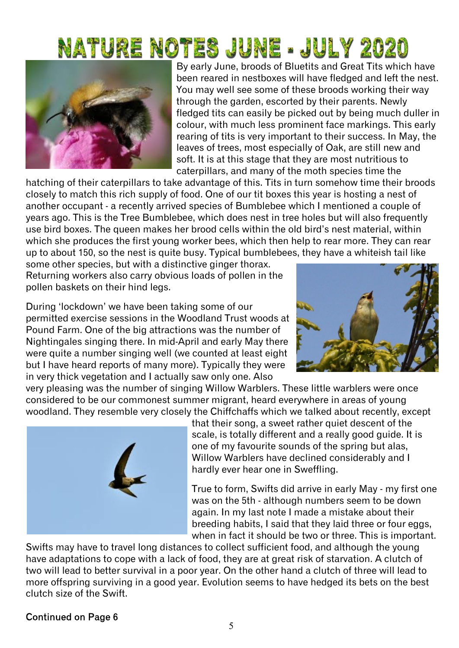# NATURE NOTES JUNE - JULY 2020



By early June, broods of Bluetits and Great Tits which have been reared in nestboxes will have fledged and left the nest. You may well see some of these broods working their way through the garden, escorted by their parents. Newly fledged tits can easily be picked out by being much duller in colour, with much less prominent face markings. This early rearing of tits is very important to their success. In May, the leaves of trees, most especially of Oak, are still new and soft. It is at this stage that they are most nutritious to caterpillars, and many of the moth species time the

hatching of their caterpillars to take advantage of this. Tits in turn somehow time their broods closely to match this rich supply of food. One of our tit boxes this year is hosting a nest of another occupant - a recently arrived species of Bumblebee which I mentioned a couple of years ago. This is the Tree Bumblebee, which does nest in tree holes but will also frequently use bird boxes. The queen makes her brood cells within the old bird's nest material, within which she produces the first young worker bees, which then help to rear more. They can rear up to about 150, so the nest is quite busy. Typical bumblebees, they have a whiteish tail like

some other species, but with a distinctive ginger thorax. Returning workers also carry obvious loads of pollen in the pollen baskets on their hind legs.

During 'lockdown' we have been taking some of our permitted exercise sessions in the Woodland Trust woods at Pound Farm. One of the big attractions was the number of Nightingales singing there. In mid-April and early May there were quite a number singing well (we counted at least eight but I have heard reports of many more). Typically they were in very thick vegetation and I actually saw only one. Also



very pleasing was the number of singing Willow Warblers. These little warblers were once considered to be our commonest summer migrant, heard everywhere in areas of young woodland. They resemble very closely the Chiffchaffs which we talked about recently, except



that their song, a sweet rather quiet descent of the scale, is totally different and a really good guide. It is one of my favourite sounds of the spring but alas, Willow Warblers have declined considerably and I hardly ever hear one in Sweffling.

True to form, Swifts did arrive in early May - my first one was on the 5th - although numbers seem to be down again. In my last note I made a mistake about their breeding habits, I said that they laid three or four eggs, when in fact it should be two or three. This is important.

Swifts may have to travel long distances to collect sufficient food, and although the young have adaptations to cope with a lack of food, they are at great risk of starvation. A clutch of two will lead to better survival in a poor year. On the other hand a clutch of three will lead to more offspring surviving in a good year. Evolution seems to have hedged its bets on the best clutch size of the Swift.

#### Continued on Page 6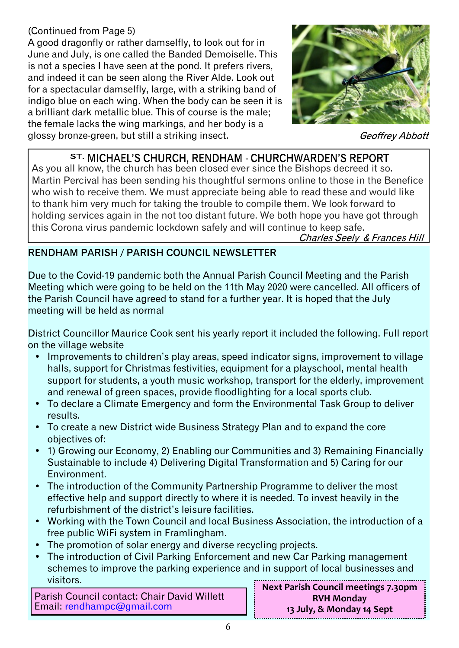#### (Continued from Page 5)

A good dragonfly or rather damselfly, to look out for in June and July, is one called the Banded Demoiselle. This is not a species I have seen at the pond. It prefers rivers, and indeed it can be seen along the River Alde. Look out for a spectacular damselfly, large, with a striking band of indigo blue on each wing. When the body can be seen it is a brilliant dark metallic blue. This of course is the male; the female lacks the wing markings, and her body is a glossy bronze-green, but still a striking insect.



Geoffrey Abbott

#### ST. MICHAEL'S CHURCH. RENDHAM - CHURCHWARDEN'S REPORT

As you all know, the church has been closed ever since the Bishops decreed it so. Martin Percival has been sending his thoughtful sermons online to those in the Benefice who wish to receive them. We must appreciate being able to read these and would like to thank him very much for taking the trouble to compile them. We look forward to holding services again in the not too distant future. We both hope you have got through this Corona virus pandemic lockdown safely and will continue to keep safe.<br>Charles Seely & Frances Hill

#### **RENDHAM PARISH / PARISH COUNCIL NEWSLETTER**

Due to the Covid-19 pandemic both the Annual Parish Council Meeting and the Parish Meeting which were going to be held on the 11th May 2020 were cancelled. All officers of the Parish Council have agreed to stand for a further year. It is hoped that the July meeting will be held as normal

District Councillor Maurice Cook sent his yearly report it included the following. Full report on the village website

- Improvements to children's play areas, speed indicator signs, improvement to village halls, support for Christmas festivities, equipment for a playschool, mental health support for students, a youth music workshop, transport for the elderly, improvement and renewal of green spaces, provide floodlighting for a local sports club.
- ü To declare a Climate Emergency and form the Environmental Task Group to deliver results.
- To create a new District wide Business Strategy Plan and to expand the core objectives of:
- ü 1) Growing our Economy, 2) Enabling our Communities and 3) Remaining Financially Sustainable to include 4) Delivering Digital Transformation and 5) Caring for our Environment.
- The introduction of the Community Partnership Programme to deliver the most effective help and support directly to where it is needed. To invest heavily in the refurbishment of the district's leisure facilities.
- ü Working with the Town Council and local Business Association, the introduction of a free public WiFi system in Framlingham.
- The promotion of solar energy and diverse recycling projects.
- The introduction of Civil Parking Enforcement and new Car Parking management schemes to improve the parking experience and in support of local businesses and visitors. **Next Parish Council meetings 7.30pm**

Parish Council contact: Chair David Willett Email: [rendhampc@gmail.com](mailto:rendhampc@gmail.com)

**RVH Monday 13 July, & Monday 14 Sept**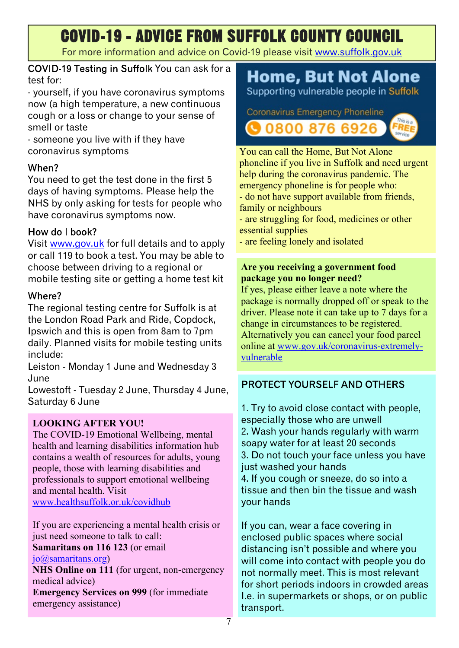# **COVID-19 - ADVICE FROM SUFFOLK COUNTY COUNCIL**

For more information and advice on Covid-19 please visit <www.suffolk.gov.uk>

COVID-19 Testing in Suffolk You can ask for a test for:

- yourself, if you have coronavirus symptoms now (a high temperature, a new continuous cough or a loss or change to your sense of smell or taste

- someone you live with if they have coronavirus symptoms

#### When?

You need to get the test done in the first 5 days of having symptoms. Please help the NHS by only asking for tests for people who have coronavirus symptoms now.

#### How do Lhook?

Visit <www.gov.uk>for full details and to apply or call 119 to book a test. You may be able to choose between driving to a regional or mobile testing site or getting a home test kit

#### Where?

The regional testing centre for Suffolk is at the London Road Park and Ride, Copdock, Ipswich and this is open from 8am to 7pm daily. Planned visits for mobile testing units include:

Leiston - Monday 1 June and Wednesday 3 June

Lowestoft - Tuesday 2 June, Thursday 4 June, Saturday 6 June

#### **LOOKING AFTER YOU!**

The COVID-19 Emotional Wellbeing, mental health and learning disabilities information hub contains a wealth of resources for adults, young people, those with learning disabilities and professionals to support emotional wellbeing and mental health. Visit <www.healthsuffolk.or.uk/covidhub>

If you are experiencing a mental health crisis or just need someone to talk to call: **Samaritans on 116 123** (or email

[jo@samaritans.org\)](mailto:jo@samaritans.org)

**NHS Online on 111** (for urgent, non-emergency medical advice)

**Emergency Services on 999** (for immediate emergency assistance)

### **Home, But Not Alone**

Supporting vulnerable people in Suffolk

Coronavirus Emergency Phoneline **30800 876 6926** 



You can call the Home, But Not Alone phoneline if you live in Suffolk and need urgent help during the coronavirus pandemic. The emergency phoneline is for people who: - do not have support available from friends, family or neighbours

- are struggling for food, medicines or other essential supplies

- are feeling lonely and isolated

#### **Are you receiving a government food package you no longer need?**

If yes, please either leave a note where the package is normally dropped off or speak to the driver. Please note it can take up to 7 days for a change in circumstances to be registered. Alternatively you can cancel your food parcel online at [www.gov.uk/coronavirus-extremely](www.gov.uk/coronavirus-extremely-vulnerable)[vulnerable](www.gov.uk/coronavirus-extremely-vulnerable)

#### PROTECT YOURSELF AND OTHERS

1. Try to avoid close contact with people, especially those who are unwell 2. Wash your hands regularly with warm soapy water for at least 20 seconds 3. Do not touch your face unless you have just washed your hands 4. If you cough or sneeze, do so into a tissue and then bin the tissue and wash your hands

If you can, wear a face covering in enclosed public spaces where social distancing isn't possible and where you will come into contact with people you do not normally meet. This is most relevant for short periods indoors in crowded areas I.e. in supermarkets or shops, or on public transport.